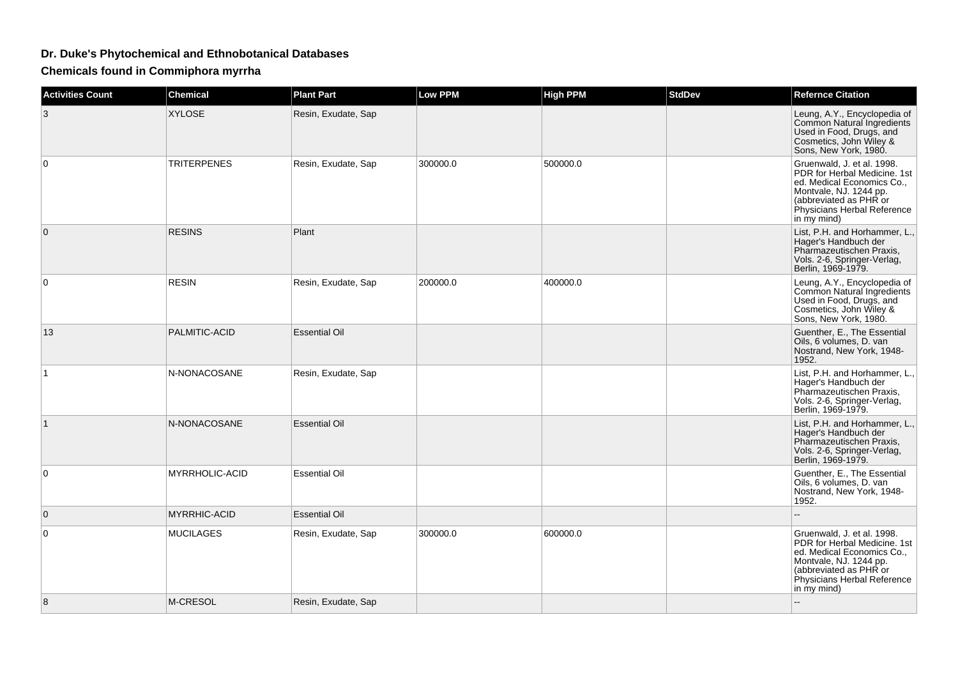## **Dr. Duke's Phytochemical and Ethnobotanical Databases**

**Chemicals found in Commiphora myrrha**

| <b>Activities Count</b> | <b>Chemical</b>     | <b>Plant Part</b>    | Low PPM  | <b>High PPM</b> | <b>StdDev</b> | <b>Refernce Citation</b>                                                                                                                                                                   |
|-------------------------|---------------------|----------------------|----------|-----------------|---------------|--------------------------------------------------------------------------------------------------------------------------------------------------------------------------------------------|
| 3                       | <b>XYLOSE</b>       | Resin, Exudate, Sap  |          |                 |               | Leung, A.Y., Encyclopedia of<br>Common Natural Ingredients<br>Used in Food, Drugs, and<br>Cosmetics, John Wiley &<br>Sons, New York, 1980.                                                 |
| $\mathbf 0$             | <b>TRITERPENES</b>  | Resin, Exudate, Sap  | 300000.0 | 500000.0        |               | Gruenwald, J. et al. 1998.<br>PDR for Herbal Medicine, 1st<br>ed. Medical Economics Co.,<br>Montvale, NJ. 1244 pp.<br>(abbreviated as PHR or<br>Physicians Herbal Reference<br>in my mind) |
| $\mathbf{0}$            | <b>RESINS</b>       | Plant                |          |                 |               | List, P.H. and Horhammer, L.,<br>Hager's Handbuch der<br>Pharmazeutischen Praxis,<br>Vols. 2-6, Springer-Verlag,<br>Berlin, 1969-1979.                                                     |
| $\Omega$                | <b>RESIN</b>        | Resin, Exudate, Sap  | 200000.0 | 400000.0        |               | Leung, A.Y., Encyclopedia of<br>Common Natural Ingredients<br>Used in Food, Drugs, and<br>Cosmetics, John Wiley &<br>Sons, New York, 1980.                                                 |
| 13                      | PALMITIC-ACID       | <b>Essential Oil</b> |          |                 |               | Guenther, E., The Essential<br>Oils, 6 volumes, D. van<br>Nostrand, New York, 1948-<br>1952.                                                                                               |
| $\mathbf{1}$            | N-NONACOSANE        | Resin, Exudate, Sap  |          |                 |               | List, P.H. and Horhammer, L.,<br>Hager's Handbuch der<br>Pharmazeutischen Praxis,<br>Vols. 2-6, Springer-Verlag,<br>Berlin, 1969-1979.                                                     |
| $\vert$ 1               | N-NONACOSANE        | <b>Essential Oil</b> |          |                 |               | List, P.H. and Horhammer, L.,<br>Hager's Handbuch der<br>Pharmazeutischen Praxis,<br>Vols. 2-6, Springer-Verlag,<br>Berlin, 1969-1979.                                                     |
| $\mathbf 0$             | MYRRHOLIC-ACID      | <b>Essential Oil</b> |          |                 |               | Guenther, E., The Essential<br>Oils, 6 volumes, D. van<br>Nostrand, New York, 1948-<br>1952.                                                                                               |
| $\mathbf{0}$            | <b>MYRRHIC-ACID</b> | <b>Essential Oil</b> |          |                 |               |                                                                                                                                                                                            |
| $\mathbf 0$             | <b>MUCILAGES</b>    | Resin, Exudate, Sap  | 300000.0 | 600000.0        |               | Gruenwald, J. et al. 1998.<br>PDR for Herbal Medicine, 1st<br>ed. Medical Economics Co.,<br>Montvale, NJ. 1244 pp.<br>(abbreviated as PHR or<br>Physicians Herbal Reference<br>in my mind) |
| 8                       | M-CRESOL            | Resin, Exudate, Sap  |          |                 |               |                                                                                                                                                                                            |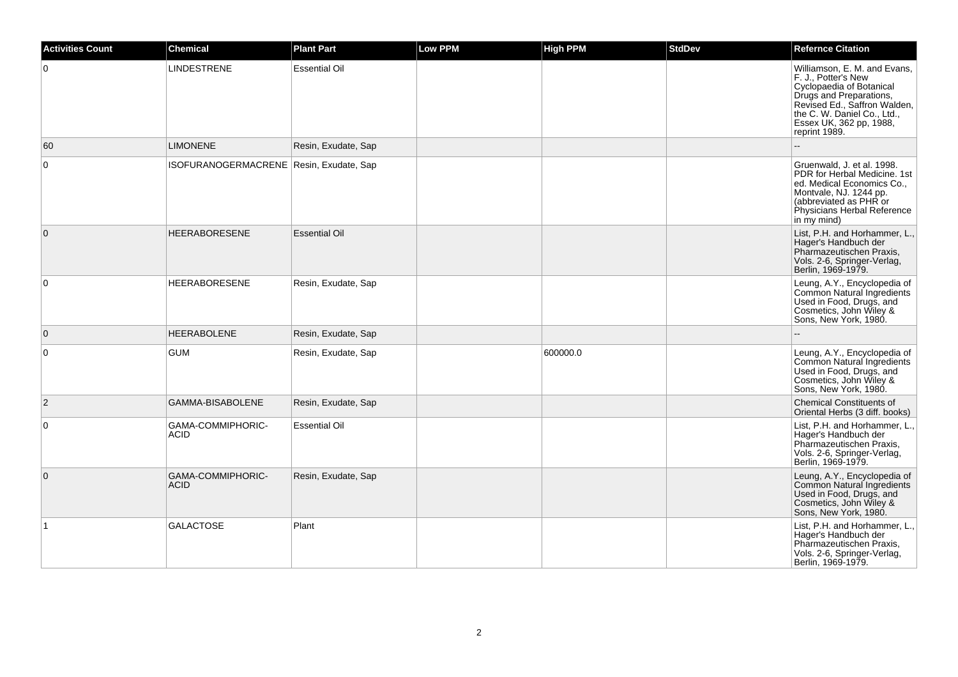| <b>Activities Count</b> | <b>Chemical</b>                         | <b>Plant Part</b>    | <b>Low PPM</b> | <b>High PPM</b> | <b>StdDev</b> | <b>Refernce Citation</b>                                                                                                                                                                                              |
|-------------------------|-----------------------------------------|----------------------|----------------|-----------------|---------------|-----------------------------------------------------------------------------------------------------------------------------------------------------------------------------------------------------------------------|
| $\overline{0}$          | <b>LINDESTRENE</b>                      | <b>Essential Oil</b> |                |                 |               | Williamson, E. M. and Evans.<br>F. J., Potter's New<br>Cyclopaedia of Botanical<br>Drugs and Preparations,<br>Revised Ed., Saffron Walden,<br>the C. W. Daniel Co., Ltd.,<br>Essex UK, 362 pp, 1988,<br>reprint 1989. |
| 60                      | <b>LIMONENE</b>                         | Resin, Exudate, Sap  |                |                 |               |                                                                                                                                                                                                                       |
| $\overline{0}$          | ISOFURANOGERMACRENE Resin, Exudate, Sap |                      |                |                 |               | Gruenwald, J. et al. 1998.<br>PDR for Herbal Medicine. 1st<br>ed. Medical Economics Co.,<br>Montvale, NJ. 1244 pp.<br>(abbreviated as PHR or<br>Physicians Herbal Reference<br>in my mind)                            |
| $\overline{0}$          | <b>HEERABORESENE</b>                    | <b>Essential Oil</b> |                |                 |               | List, P.H. and Horhammer, L.,<br>Hager's Handbuch der<br>Pharmazeutischen Praxis,<br>Vols. 2-6, Springer-Verlag,<br>Berlin, 1969-1979.                                                                                |
| $\overline{0}$          | <b>HEERABORESENE</b>                    | Resin, Exudate, Sap  |                |                 |               | Leung, A.Y., Encyclopedia of<br>Common Natural Ingredients<br>Used in Food, Drugs, and<br>Cosmetics, John Wiley &<br>Sons, New York, 1980.                                                                            |
| $\overline{0}$          | <b>HEERABOLENE</b>                      | Resin, Exudate, Sap  |                |                 |               |                                                                                                                                                                                                                       |
| $\overline{0}$          | <b>GUM</b>                              | Resin, Exudate, Sap  |                | 600000.0        |               | Leung, A.Y., Encyclopedia of<br>Common Natural Ingredients<br>Used in Food. Drugs. and<br>Cosmetics, John Wiley &<br>Sons, New York, 1980.                                                                            |
| $\overline{2}$          | <b>GAMMA-BISABOLENE</b>                 | Resin, Exudate, Sap  |                |                 |               | <b>Chemical Constituents of</b><br>Oriental Herbs (3 diff. books)                                                                                                                                                     |
| $\overline{0}$          | GAMA-COMMIPHORIC-<br><b>ACID</b>        | <b>Essential Oil</b> |                |                 |               | List, P.H. and Horhammer, L.,<br>Hager's Handbuch der<br>Pharmazeutischen Praxis,<br>Vols. 2-6, Springer-Verlag,<br>Berlin, 1969-1979.                                                                                |
| $\overline{0}$          | GAMA-COMMIPHORIC-<br><b>ACID</b>        | Resin, Exudate, Sap  |                |                 |               | Leung, A.Y., Encyclopedia of<br>Common Natural Ingredients<br>Used in Food, Drugs, and<br>Cosmetics, John Wiley &<br>Sons, New York, 1980.                                                                            |
| $\vert$ 1               | <b>GALACTOSE</b>                        | Plant                |                |                 |               | List, P.H. and Horhammer, L.,<br>Hager's Handbuch der<br>Pharmazeutischen Praxis,<br>Vols. 2-6, Springer-Verlag,<br>Berlin, 1969-1979.                                                                                |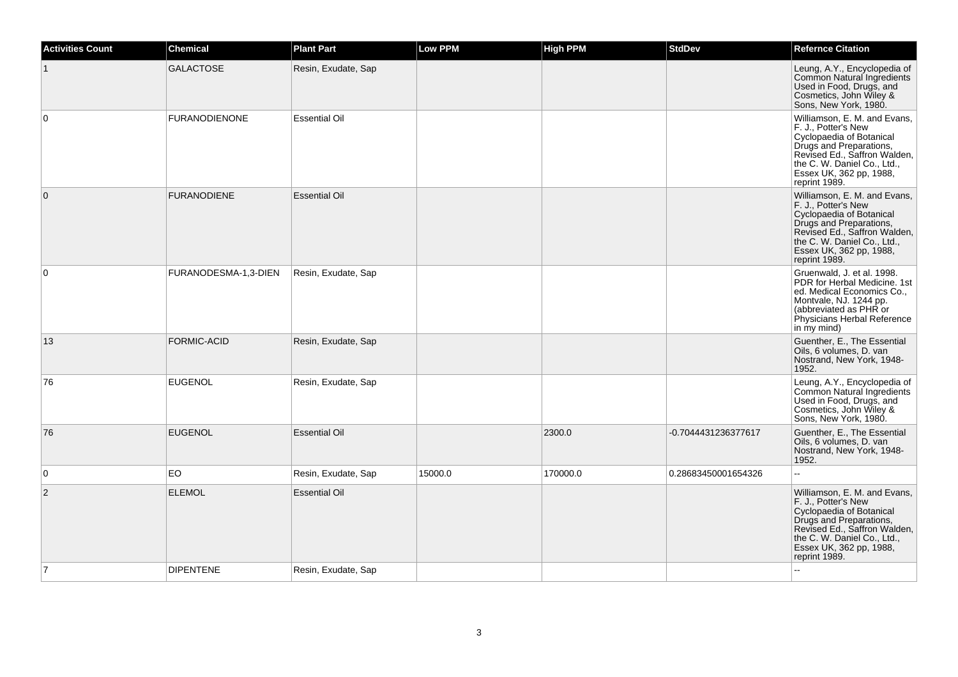| <b>Activities Count</b> | <b>Chemical</b>      | <b>Plant Part</b>    | <b>Low PPM</b> | <b>High PPM</b> | <b>StdDev</b>       | <b>Refernce Citation</b>                                                                                                                                                                                              |
|-------------------------|----------------------|----------------------|----------------|-----------------|---------------------|-----------------------------------------------------------------------------------------------------------------------------------------------------------------------------------------------------------------------|
|                         | <b>GALACTOSE</b>     | Resin, Exudate, Sap  |                |                 |                     | Leung, A.Y., Encyclopedia of<br>Common Natural Ingredients<br>Used in Food, Drugs, and<br>Cosmetics, John Wiley &<br>Sons, New York, 1980.                                                                            |
| $\overline{0}$          | <b>FURANODIENONE</b> | <b>Essential Oil</b> |                |                 |                     | Williamson, E. M. and Evans,<br>F. J., Potter's New<br>Cyclopaedia of Botanical<br>Drugs and Preparations,<br>Revised Ed., Saffron Walden,<br>the C. W. Daniel Co., Ltd.,<br>Essex UK, 362 pp, 1988,<br>reprint 1989. |
| $\overline{0}$          | <b>FURANODIENE</b>   | <b>Essential Oil</b> |                |                 |                     | Williamson, E. M. and Evans,<br>F. J., Potter's New<br>Cyclopaedia of Botanical<br>Drugs and Preparations,<br>Revised Ed., Saffron Walden,<br>the C. W. Daniel Co., Ltd.,<br>Essex UK, 362 pp, 1988,<br>reprint 1989. |
| 0                       | FURANODESMA-1,3-DIEN | Resin, Exudate, Sap  |                |                 |                     | Gruenwald, J. et al. 1998.<br>PDR for Herbal Medicine. 1st<br>ed. Medical Economics Co.,<br>Montvale, NJ. 1244 pp.<br>(abbreviated as PHR or<br>Physicians Herbal Reference<br>in my mind)                            |
| 13                      | <b>FORMIC-ACID</b>   | Resin, Exudate, Sap  |                |                 |                     | Guenther, E., The Essential<br>Oils, 6 volumes, D. van<br>Nostrand, New York, 1948-<br>1952.                                                                                                                          |
| 76                      | <b>EUGENOL</b>       | Resin, Exudate, Sap  |                |                 |                     | Leung, A.Y., Encyclopedia of<br><b>Common Natural Ingredients</b><br>Used in Food, Drugs, and<br>Cosmetics, John Wiley &<br>Sons, New York, 1980.                                                                     |
| 76                      | <b>EUGENOL</b>       | <b>Essential Oil</b> |                | 2300.0          | -0.7044431236377617 | Guenther, E., The Essential<br>Oils, 6 volumes, D. van<br>Nostrand, New York, 1948-<br>1952.                                                                                                                          |
| $\overline{0}$          | <b>EO</b>            | Resin, Exudate, Sap  | 15000.0        | 170000.0        | 0.28683450001654326 | $\overline{a}$                                                                                                                                                                                                        |
| $\overline{2}$          | <b>ELEMOL</b>        | <b>Essential Oil</b> |                |                 |                     | Williamson, E. M. and Evans,<br>F. J., Potter's New<br>Cyclopaedia of Botanical<br>Drugs and Preparations,<br>Revised Ed., Saffron Walden,<br>the C. W. Daniel Co., Ltd.,<br>Essex UK, 362 pp, 1988,<br>reprint 1989. |
| $\overline{7}$          | <b>DIPENTENE</b>     | Resin, Exudate, Sap  |                |                 |                     |                                                                                                                                                                                                                       |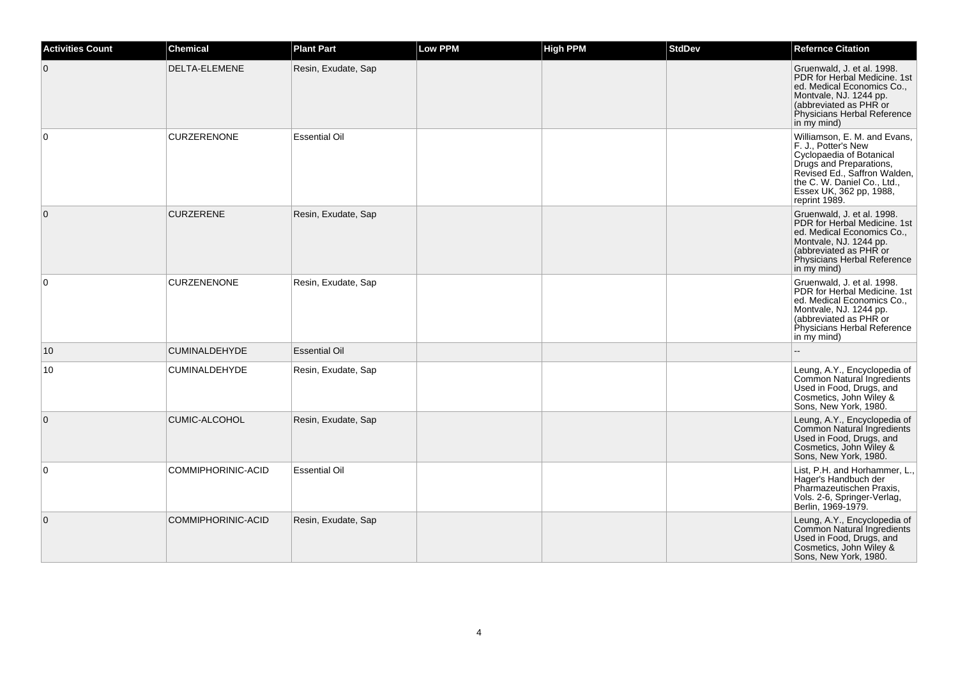| <b>Activities Count</b> | <b>Chemical</b>      | <b>Plant Part</b>    | Low PPM | <b>High PPM</b> | <b>StdDev</b> | <b>Refernce Citation</b>                                                                                                                                                                                              |
|-------------------------|----------------------|----------------------|---------|-----------------|---------------|-----------------------------------------------------------------------------------------------------------------------------------------------------------------------------------------------------------------------|
| 0                       | DELTA-ELEMENE        | Resin, Exudate, Sap  |         |                 |               | Gruenwald, J. et al. 1998.<br>PDR for Herbal Medicine. 1st<br>ed. Medical Economics Co.,<br>Montvale, NJ. 1244 pp.<br>(abbreviated as PHR or<br>Physicians Herbal Reference<br>in my mind)                            |
| $\mathbf 0$             | <b>CURZERENONE</b>   | <b>Essential Oil</b> |         |                 |               | Williamson, E. M. and Evans,<br>F. J., Potter's New<br>Cyclopaedia of Botanical<br>Drugs and Preparations,<br>Revised Ed., Saffron Walden,<br>the C. W. Daniel Co., Ltd.,<br>Essex UK, 362 pp, 1988,<br>reprint 1989. |
| $\mathbf{0}$            | <b>CURZERENE</b>     | Resin, Exudate, Sap  |         |                 |               | Gruenwald, J. et al. 1998.<br>PDR for Herbal Medicine. 1st<br>ed. Medical Economics Co.,<br>Montvale, NJ. 1244 pp.<br>(abbreviated as PHR or<br>Physicians Herbal Reference<br>in my mind)                            |
| $\Omega$                | <b>CURZENENONE</b>   | Resin, Exudate, Sap  |         |                 |               | Gruenwald, J. et al. 1998.<br>PDR for Herbal Medicine. 1st<br>ed. Medical Economics Co.,<br>Montvale, NJ. 1244 pp.<br>(abbreviated as PHR or<br>Physicians Herbal Reference<br>in my mind)                            |
| 10                      | <b>CUMINALDEHYDE</b> | <b>Essential Oil</b> |         |                 |               |                                                                                                                                                                                                                       |
| 10                      | <b>CUMINALDEHYDE</b> | Resin, Exudate, Sap  |         |                 |               | Leung, A.Y., Encyclopedia of<br>Common Natural Ingredients<br>Used in Food, Drugs, and<br>Cosmetics, John Wiley &<br>Sons, New York, 1980.                                                                            |
| $\mathbf 0$             | <b>CUMIC-ALCOHOL</b> | Resin, Exudate, Sap  |         |                 |               | Leung, A.Y., Encyclopedia of<br>Common Natural Ingredients<br>Used in Food, Drugs, and<br>Cosmetics, John Wiley &<br>Sons, New York, 1980.                                                                            |
| $\Omega$                | COMMIPHORINIC-ACID   | <b>Essential Oil</b> |         |                 |               | List, P.H. and Horhammer, L.,<br>Hager's Handbuch der<br>Pharmazeutischen Praxis,<br>Vols. 2-6, Springer-Verlag,<br>Berlin, 1969-1979.                                                                                |
| $\mathbf 0$             | COMMIPHORINIC-ACID   | Resin, Exudate, Sap  |         |                 |               | Leung, A.Y., Encyclopedia of<br>Common Natural Ingredients<br>Used in Food, Drugs, and<br>Cosmetics, John Wiley &<br>Sons, New York, 1980.                                                                            |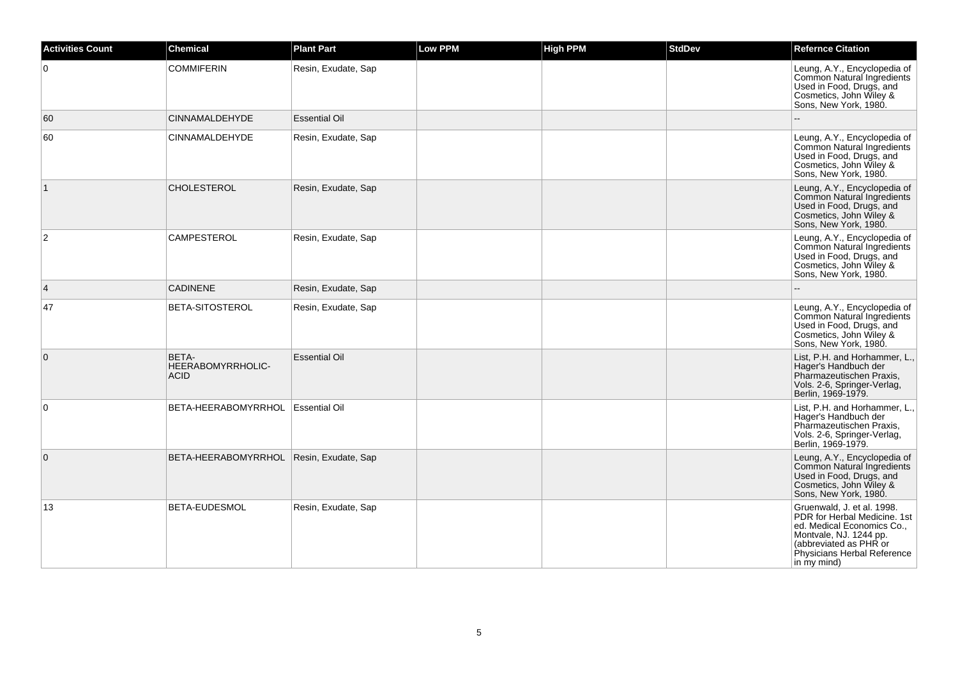| <b>Activities Count</b> | <b>Chemical</b>                           | <b>Plant Part</b>    | <b>Low PPM</b> | <b>High PPM</b> | <b>StdDev</b> | <b>Refernce Citation</b>                                                                                                                                                                   |
|-------------------------|-------------------------------------------|----------------------|----------------|-----------------|---------------|--------------------------------------------------------------------------------------------------------------------------------------------------------------------------------------------|
| $\Omega$                | <b>COMMIFERIN</b>                         | Resin, Exudate, Sap  |                |                 |               | Leung, A.Y., Encyclopedia of<br>Common Natural Ingredients<br>Used in Food, Drugs, and<br>Cosmetics, John Wiley &<br>Sons, New York, 1980.                                                 |
| 60                      | <b>CINNAMALDEHYDE</b>                     | <b>Essential Oil</b> |                |                 |               |                                                                                                                                                                                            |
| 60                      | CINNAMALDEHYDE                            | Resin, Exudate, Sap  |                |                 |               | Leung, A.Y., Encyclopedia of<br>Common Natural Ingredients<br>Used in Food, Drugs, and<br>Cosmetics, John Wiley &<br>Sons, New York, 1980.                                                 |
| $\vert$ 1               | <b>CHOLESTEROL</b>                        | Resin, Exudate, Sap  |                |                 |               | Leung, A.Y., Encyclopedia of<br>Common Natural Ingredients<br>Used in Food, Drugs, and<br>Cosmetics, John Wiley &<br>Sons, New York, 1980.                                                 |
| $\overline{2}$          | <b>CAMPESTEROL</b>                        | Resin, Exudate, Sap  |                |                 |               | Leung, A.Y., Encyclopedia of<br>Common Natural Ingredients<br>Used in Food, Drugs, and<br>Cosmetics, John Wiley &<br>Sons, New York, 1980.                                                 |
| $\overline{4}$          | <b>CADINENE</b>                           | Resin, Exudate, Sap  |                |                 |               |                                                                                                                                                                                            |
| 47                      | BETA-SITOSTEROL                           | Resin, Exudate, Sap  |                |                 |               | Leung, A.Y., Encyclopedia of<br>Common Natural Ingredients<br>Used in Food, Drugs, and<br>Cosmetics, John Wiley &<br>Sons, New York, 1980.                                                 |
| $\mathbf 0$             | BETA-<br>HEERABOMYRRHOLIC-<br><b>ACID</b> | <b>Essential Oil</b> |                |                 |               | List, P.H. and Horhammer, L.,<br>Hager's Handbuch der<br>Pharmazeutischen Praxis.<br>Vols. 2-6, Springer-Verlag,<br>Berlin, 1969-1979.                                                     |
| 0                       | BETA-HEERABOMYRRHOL   Essential Oil       |                      |                |                 |               | List, P.H. and Horhammer, L.,<br>Hager's Handbuch der<br>Pharmazeutischen Praxis,<br>Vols. 2-6, Springer-Verlag,<br>Berlin, 1969-1979.                                                     |
| $\mathbf{0}$            | BETA-HEERABOMYRRHOL                       | Resin, Exudate, Sap  |                |                 |               | Leung, A.Y., Encyclopedia of<br>Common Natural Ingredients<br>Used in Food, Drugs, and<br>Cosmetics, John Wiley &<br>Sons, New York, 1980.                                                 |
| 13                      | BETA-EUDESMOL                             | Resin, Exudate, Sap  |                |                 |               | Gruenwald, J. et al. 1998.<br>PDR for Herbal Medicine. 1st<br>ed. Medical Economics Co.,<br>Montvale, NJ. 1244 pp.<br>(abbreviated as PHR or<br>Physicians Herbal Reference<br>in my mind) |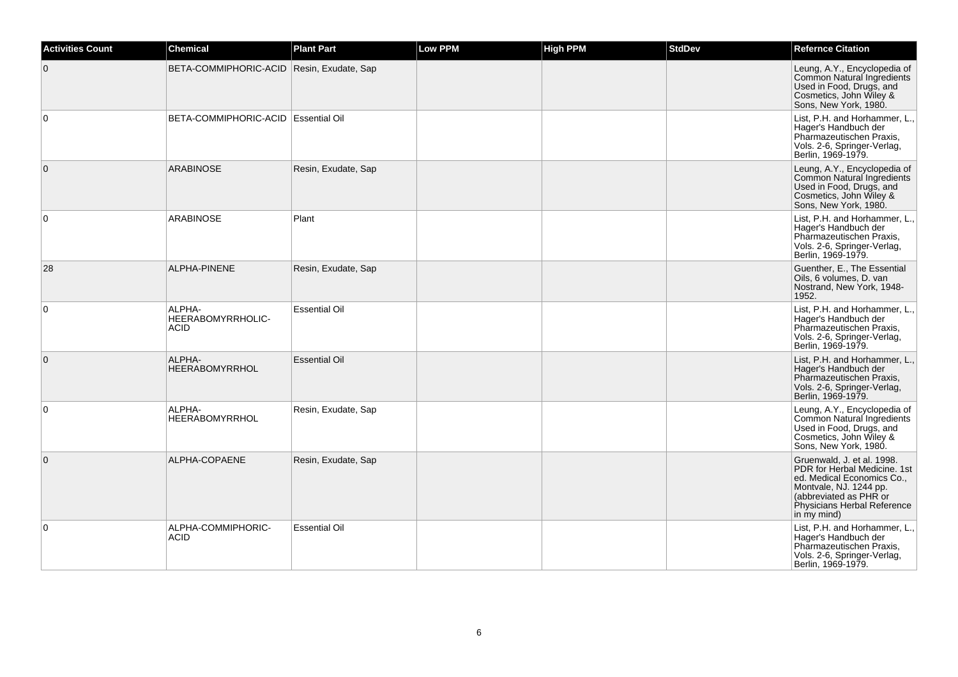| <b>Activities Count</b> | <b>Chemical</b>                            | <b>Plant Part</b>    | <b>Low PPM</b> | <b>High PPM</b> | <b>StdDev</b> | <b>Refernce Citation</b>                                                                                                                                                                   |
|-------------------------|--------------------------------------------|----------------------|----------------|-----------------|---------------|--------------------------------------------------------------------------------------------------------------------------------------------------------------------------------------------|
| $\mathbf{0}$            | BETA-COMMIPHORIC-ACID Resin, Exudate, Sap  |                      |                |                 |               | Leung, A.Y., Encyclopedia of<br>Common Natural Ingredients<br>Used in Food, Drugs, and<br>Cosmetics, John Wiley &<br>Sons, New York, 1980.                                                 |
| 0                       | BETA-COMMIPHORIC-ACID   Essential Oil      |                      |                |                 |               | List, P.H. and Horhammer, L.,<br>Hager's Handbuch der<br>Pharmazeutischen Praxis,<br>Vols. 2-6, Springer-Verlag,<br>Berlin, 1969-1979.                                                     |
| $\mathbf{0}$            | <b>ARABINOSE</b>                           | Resin, Exudate, Sap  |                |                 |               | Leung, A.Y., Encyclopedia of<br>Common Natural Ingredients<br>Used in Food, Drugs, and<br>Cosmetics, John Wiley &<br>Sons, New York, 1980.                                                 |
| $\Omega$                | <b>ARABINOSE</b>                           | Plant                |                |                 |               | List, P.H. and Horhammer, L.,<br>Hager's Handbuch der<br>Pharmazeutischen Praxis,<br>Vols. 2-6, Springer-Verlag,<br>Berlin, 1969-1979.                                                     |
| 28                      | ALPHA-PINENE                               | Resin, Exudate, Sap  |                |                 |               | Guenther, E., The Essential<br>Oils, 6 volumes, D. van<br>Nostrand, New York, 1948-<br>1952.                                                                                               |
| $\mathbf 0$             | ALPHA-<br>HEERABOMYRRHOLIC-<br><b>ACID</b> | <b>Essential Oil</b> |                |                 |               | List, P.H. and Horhammer, L.,<br>Hager's Handbuch der<br>Pharmazeutischen Praxis,<br>Vols. 2-6, Springer-Verlag,<br>Berlin, 1969-1979.                                                     |
| $\mathbf{0}$            | ALPHA-<br><b>HEERABOMYRRHOL</b>            | <b>Essential Oil</b> |                |                 |               | List, P.H. and Horhammer, L.,<br>Hager's Handbuch der<br>Pharmazeutischen Praxis,<br>Vols. 2-6, Springer-Verlag,<br>Berlin, 1969-1979.                                                     |
| 0                       | ALPHA-<br><b>HEERABOMYRRHOL</b>            | Resin, Exudate, Sap  |                |                 |               | Leung, A.Y., Encyclopedia of<br>Common Natural Ingredients<br>Used in Food, Drugs, and<br>Cosmetics, John Wiley &<br>Sons, New York, 1980.                                                 |
| $\mathbf{0}$            | ALPHA-COPAENE                              | Resin, Exudate, Sap  |                |                 |               | Gruenwald, J. et al. 1998.<br>PDR for Herbal Medicine. 1st<br>ed. Medical Economics Co.,<br>Montvale, NJ. 1244 pp.<br>(abbreviated as PHR or<br>Physicians Herbal Reference<br>in my mind) |
| $\mathbf 0$             | ALPHA-COMMIPHORIC-<br><b>ACID</b>          | <b>Essential Oil</b> |                |                 |               | List, P.H. and Horhammer, L.,<br>Hager's Handbuch der<br>Pharmazeutischen Praxis,<br>Vols. 2-6, Springer-Verlag,<br>Berlin, 1969-1979.                                                     |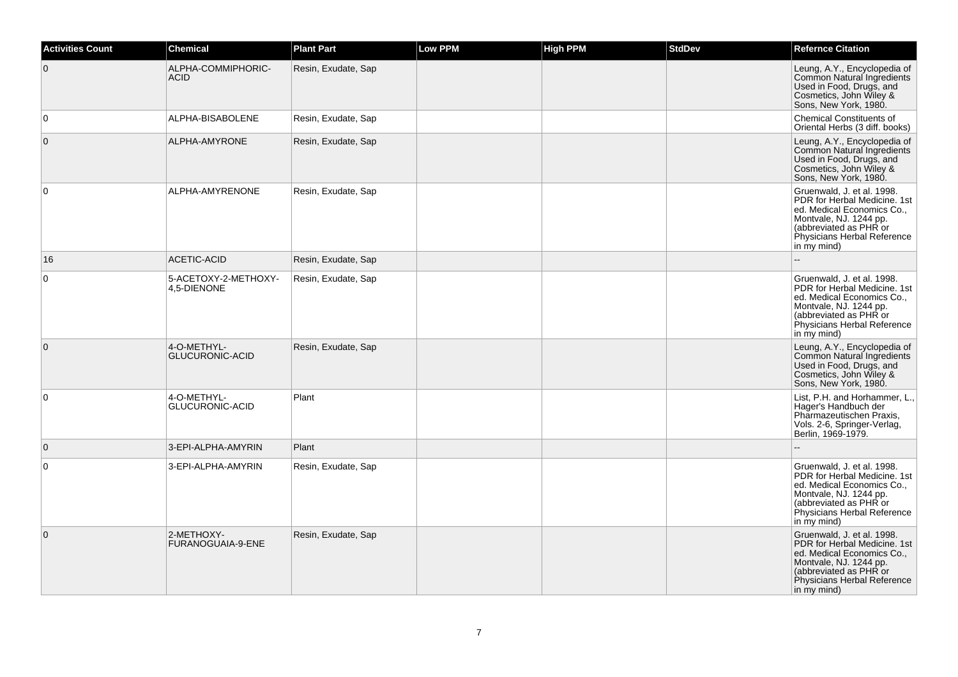| <b>Activities Count</b> | Chemical                              | <b>Plant Part</b>   | Low PPM | <b>High PPM</b> | <b>StdDev</b> | <b>Refernce Citation</b>                                                                                                                                                                   |
|-------------------------|---------------------------------------|---------------------|---------|-----------------|---------------|--------------------------------------------------------------------------------------------------------------------------------------------------------------------------------------------|
| $\overline{0}$          | ALPHA-COMMIPHORIC-<br><b>ACID</b>     | Resin, Exudate, Sap |         |                 |               | Leung, A.Y., Encyclopedia of<br>Common Natural Ingredients<br>Used in Food, Drugs, and<br>Cosmetics, John Wiley &<br>Sons, New York, 1980.                                                 |
| $\overline{0}$          | ALPHA-BISABOLENE                      | Resin, Exudate, Sap |         |                 |               | <b>Chemical Constituents of</b><br>Oriental Herbs (3 diff. books)                                                                                                                          |
| $\overline{0}$          | ALPHA-AMYRONE                         | Resin, Exudate, Sap |         |                 |               | Leung, A.Y., Encyclopedia of<br>Common Natural Ingredients<br>Used in Food, Drugs, and<br>Cosmetics, John Wiley &<br>Sons, New York, 1980.                                                 |
| $\overline{0}$          | ALPHA-AMYRENONE                       | Resin, Exudate, Sap |         |                 |               | Gruenwald, J. et al. 1998.<br>PDR for Herbal Medicine, 1st<br>ed. Medical Economics Co<br>Montvale, NJ. 1244 pp.<br>(abbreviated as PHR or<br>Physicians Herbal Reference<br>in my mind)   |
| 16                      | <b>ACETIC-ACID</b>                    | Resin, Exudate, Sap |         |                 |               |                                                                                                                                                                                            |
| $\overline{0}$          | 5-ACETOXY-2-METHOXY-<br>4,5-DIENONE   | Resin, Exudate, Sap |         |                 |               | Gruenwald, J. et al. 1998.<br>PDR for Herbal Medicine. 1st<br>ed. Medical Economics Co.,<br>Montvale, NJ. 1244 pp.<br>(abbreviated as PHR or<br>Physicians Herbal Reference<br>in my mind) |
| $\overline{0}$          | 4-O-METHYL-<br><b>GLUCURONIC-ACID</b> | Resin, Exudate, Sap |         |                 |               | Leung, A.Y., Encyclopedia of<br>Common Natural Ingredients<br>Used in Food, Drugs, and<br>Cosmetics, John Wiley &<br>Sons, New York, 1980.                                                 |
| $\overline{0}$          | 4-O-METHYL-<br>GLUCURONIC-ACID        | Plant               |         |                 |               | List, P.H. and Horhammer, L.,<br>Hager's Handbuch der<br>Pharmazeutischen Praxis,<br>Vols. 2-6, Springer-Verlag,<br>Berlin, 1969-1979.                                                     |
| $\overline{0}$          | 3-EPI-ALPHA-AMYRIN                    | Plant               |         |                 |               |                                                                                                                                                                                            |
| $\overline{0}$          | 3-EPI-ALPHA-AMYRIN                    | Resin, Exudate, Sap |         |                 |               | Gruenwald, J. et al. 1998.<br>PDR for Herbal Medicine. 1st<br>ed. Medical Economics Co.,<br>Montvale, NJ. 1244 pp.<br>(abbreviated as PHR or<br>Physicians Herbal Reference<br>in my mind) |
| $\overline{0}$          | 2-METHOXY-<br>FURANOGUAIA-9-ENE       | Resin, Exudate, Sap |         |                 |               | Gruenwald, J. et al. 1998.<br>PDR for Herbal Medicine. 1st<br>ed. Medical Economics Co.,<br>Montvale, NJ. 1244 pp.<br>(abbreviated as PHR or<br>Physicians Herbal Reference<br>in my mind) |